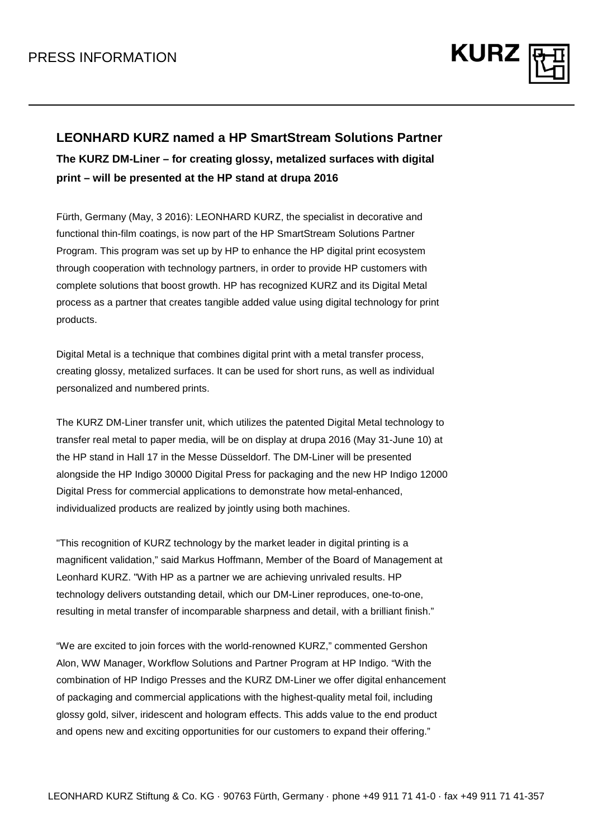

## **LEONHARD KURZ named a HP SmartStream Solutions Partner**

**The KURZ DM-Liner – for creating glossy, metalized surfaces with digital print – will be presented at the HP stand at drupa 2016**

Fürth, Germany (May, 3 2016): LEONHARD KURZ, the specialist in decorative and functional thin-film coatings, is now part of the HP SmartStream Solutions Partner Program. This program was set up by HP to enhance the HP digital print ecosystem through cooperation with technology partners, in order to provide HP customers with complete solutions that boost growth. HP has recognized KURZ and its Digital Metal process as a partner that creates tangible added value using digital technology for print products.

Digital Metal is a technique that combines digital print with a metal transfer process, creating glossy, metalized surfaces. It can be used for short runs, as well as individual personalized and numbered prints.

The KURZ DM-Liner transfer unit, which utilizes the patented Digital Metal technology to transfer real metal to paper media, will be on display at drupa 2016 (May 31-June 10) at the HP stand in Hall 17 in the Messe Düsseldorf. The DM-Liner will be presented alongside the HP Indigo 30000 Digital Press for packaging and the new HP Indigo 12000 Digital Press for commercial applications to demonstrate how metal-enhanced, individualized products are realized by jointly using both machines.

"This recognition of KURZ technology by the market leader in digital printing is a magnificent validation," said Markus Hoffmann, Member of the Board of Management at Leonhard KURZ. "With HP as a partner we are achieving unrivaled results. HP technology delivers outstanding detail, which our DM-Liner reproduces, one-to-one, resulting in metal transfer of incomparable sharpness and detail, with a brilliant finish."

"We are excited to join forces with the world-renowned KURZ," commented Gershon Alon, WW Manager, Workflow Solutions and Partner Program at HP Indigo. "With the combination of HP Indigo Presses and the KURZ DM-Liner we offer digital enhancement of packaging and commercial applications with the highest-quality metal foil, including glossy gold, silver, iridescent and hologram effects. This adds value to the end product and opens new and exciting opportunities for our customers to expand their offering."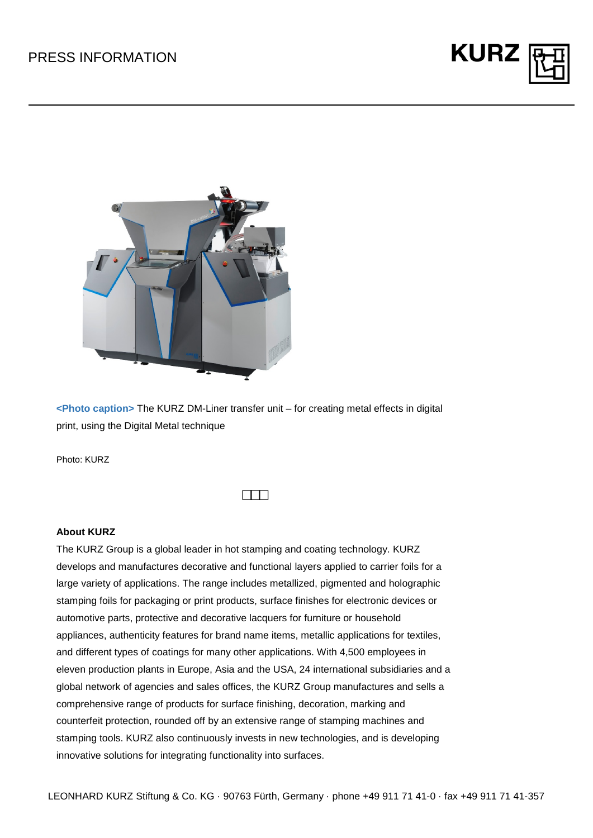



**<Photo caption>** The KURZ DM-Liner transfer unit – for creating metal effects in digital print, using the Digital Metal technique

Photo: KURZ

## **About KURZ**

The KURZ Group is a global leader in hot stamping and coating technology. KURZ develops and manufactures decorative and functional layers applied to carrier foils for a large variety of applications. The range includes metallized, pigmented and holographic stamping foils for packaging or print products, surface finishes for electronic devices or automotive parts, protective and decorative lacquers for furniture or household appliances, authenticity features for brand name items, metallic applications for textiles, and different types of coatings for many other applications. With 4,500 employees in eleven production plants in Europe, Asia and the USA, 24 international subsidiaries and a global network of agencies and sales offices, the KURZ Group manufactures and sells a comprehensive range of products for surface finishing, decoration, marking and counterfeit protection, rounded off by an extensive range of stamping machines and stamping tools. KURZ also continuously invests in new technologies, and is developing innovative solutions for integrating functionality into surfaces.